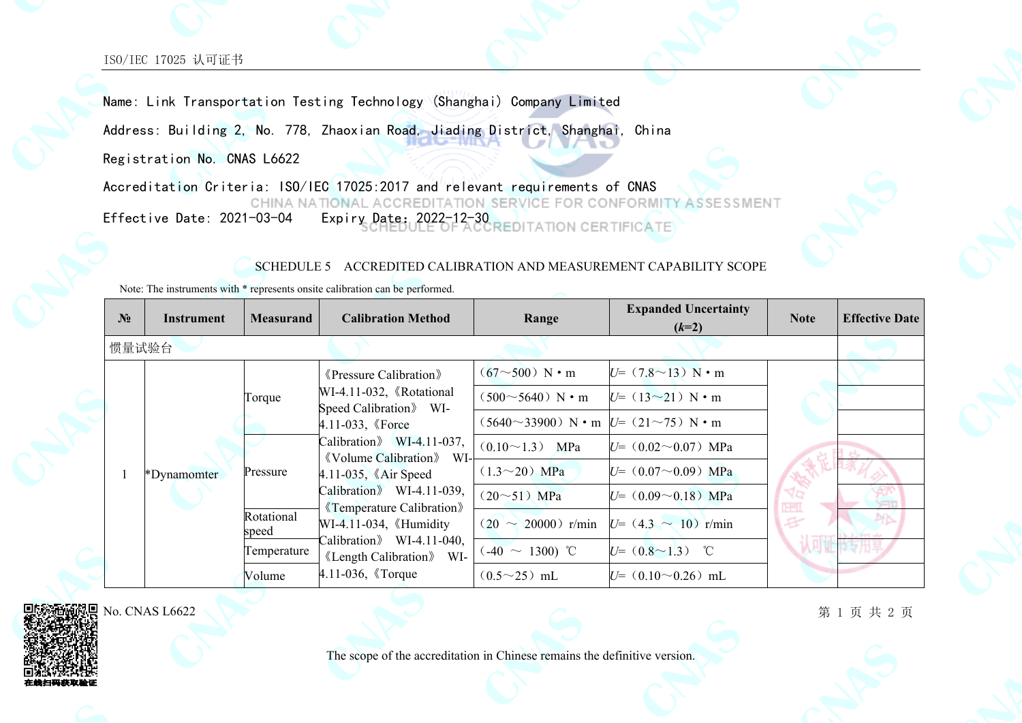ISO/IEC 17025 认可证书

Name: Link Transportation Testing Technology (Shanghai) Company Limited Address: Building 2, No. 778, Zhaoxian Road, Jiading District, Shanghai, China Registration No. CNAS L6622 Accreditation Criteria: ISO/IEC 17025:2017 and relevant requirements of CNAS CHINA NATIONAL ACCREDITATION SERVICE FOR CONFORMITY

ASSESSMENT Effective Date: 2021-03-04 Expiry Date: 2022-12-30

**REDITATION CERTIFICATE** 

## SCHEDULE 5 ACCREDITED CALIBRATION AND MEASUREMENT CAPABILITY SCOPE

Note: The instruments with \* represents onsite calibration can be performed.

|  | N <sub>2</sub> | Instrument  | <b>Measurand</b>                               | <b>Calibration Method</b>                                                                                                   | Range                                                | <b>Expanded Uncertainty</b><br>$(k=2)$ | <b>Note</b>   | <b>Effective Date</b> |
|--|----------------|-------------|------------------------------------------------|-----------------------------------------------------------------------------------------------------------------------------|------------------------------------------------------|----------------------------------------|---------------|-----------------------|
|  | 惯量试验台          |             |                                                |                                                                                                                             |                                                      |                                        |               |                       |
|  |                |             |                                                | <b>Example 2</b> Pressure Calibration<br>WI-4.11-032, 《Rotational<br>Speed Calibration WI-<br>$4.11 - 033$ , <i>K</i> Force | $(67{\sim}500)$ N • m                                | $U = (7.8 \sim 13)$ N • m              |               |                       |
|  |                |             | Torque                                         |                                                                                                                             | $(500 \sim 5640)$ N • m                              | $U = (13 \sim 21)$ N • m               |               |                       |
|  |                | *Dynamomter |                                                |                                                                                                                             | $(5640^{\sim}33900)$ N • m $U=$ (21 $\sim$ 75) N • m |                                        |               |                       |
|  |                |             | Pressure<br>Rotational<br>speed<br>Temperature | Calibration $\text{WI-4.11-037}$ ,<br><b>Kyolume Calibration</b> WI-                                                        | $(0.10 \sim 1.3)$ MPa                                | $U = (0.02 \sim 0.07)$ MPa             |               |                       |
|  |                |             |                                                | $4.11-035$ , $\&$ Air Speed                                                                                                 | $(1.3 \sim 20)$ MPa                                  | $U = (0.07 \sim 0.09)$ MPa             |               |                       |
|  |                |             |                                                | Calibration WI-4.11-039,                                                                                                    | $(20 \sim 51)$ MPa                                   | $U = (0.09 \sim 0.18)$ MPa             | <b>THE</b>    |                       |
|  |                |             |                                                | <b>«Temperature Calibration</b> »<br>WI-4.11-034, 《Humidity                                                                 | $(20 \sim 20000)$ r/min                              | $U = (4.3 \sim 10)$ r/min              | $\mathcal{F}$ |                       |
|  |                |             |                                                | Calibration $WI-4.11-040$ ,<br>«Length Calibration» WI-                                                                     | $(.40 \sim 1300)$ °C                                 | $U = (0.8 \sim 1.3)$ °C                |               |                       |
|  |                |             | Volume                                         | $4.11 - 036$ , <i>(Torque</i> )                                                                                             | $(0.5{\sim}25)$ mL                                   | $U=$ (0.10 $\sim$ 0.26) mL             |               |                       |

No. CNAS L6622

第 1 页 共 2 页

The scope of the accreditation in Chinese remains the definitive version.